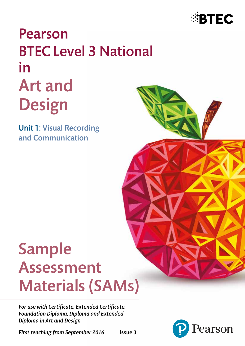

# Pearson BTEC Level 3 National in Art and **Design**

Unit 1: Visual Recording and Communication

# Sample Assessment Materials (SAMs)

**For use with Certificate, Extended Certificate, Foundation Diploma, Diploma and Extended Diploma in Art and Design**

**First teaching from September 2016 Issue 3**

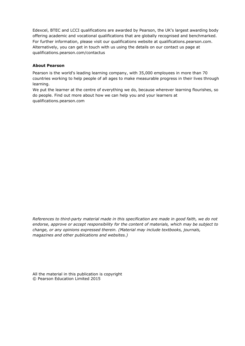Edexcel, BTEC and LCCI qualifications are awarded by Pearson, the UK's largest awarding body offering academic and vocational qualifications that are globally recognised and benchmarked. For further information, please visit our qualifications website at qualifications.pearson.com. Alternatively, you can get in touch with us using the details on our contact us page at qualifications.pearson.com/contactus

#### **About Pearson**

Pearson is the world's leading learning company, with 35,000 employees in more than 70 countries working to help people of all ages to make measurable progress in their lives through learning.

We put the learner at the centre of everything we do, because wherever learning flourishes, so do people. Find out more about how we can help you and your learners at qualifications.pearson.com

*References to third-party material made in this specification are made in good faith, we do not endorse, approve or accept responsibility for the content of materials, which may be subject to change, or any opinions expressed therein. (Material may include textbooks, journals, magazines and other publications and websites.)* 

All the material in this publication is copyright © Pearson Education Limited 2015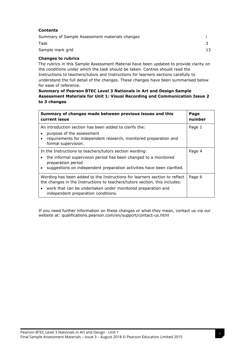| Contents                                       |     |
|------------------------------------------------|-----|
| Summary of Sample Assessment materials changes |     |
| Task                                           |     |
| Sample mark grid                               | 13. |

#### **Changes to rubrics**

The rubrics in this Sample Assessment Material have been updated to provide clarity on the conditions under which the task should be taken. Centres should read the Instructions to teachers/tutors and Instructions for learners sections carefully to understand the full detail of the changes. These changes have been summarised below for ease of reference.

#### **Summary of Pearson BTEC Level 3 Nationals in Art and Design Sample Assessment Materials for Unit 1: Visual Recording and Communication Issue 2 to 3 changes**

| Summary of changes made between previous issues and this<br>current issue                                                                                                                                                                                                   | Page<br>number |
|-----------------------------------------------------------------------------------------------------------------------------------------------------------------------------------------------------------------------------------------------------------------------------|----------------|
| An introduction section has been added to clarify the:<br>purpose of the assessment<br>٠<br>requirements for independent research, monitored preparation and<br>$\bullet$<br>formal supervision.                                                                            | Page 1         |
| In the Instructions to teachers/tutors section wording:<br>the informal supervision period has been changed to a monitored<br>$\bullet$<br>preparation period<br>suggestions on independent preparation activities have been clarified.<br>$\bullet$                        | Page 4         |
| Wording has been added to the Instructions for learners section to reflect<br>the changes in the Instructions to teachers/tutors section, this includes:<br>work that can be undertaken under monitored preparation and<br>$\bullet$<br>independent preparation conditions. | Page 6         |

If you need further information on these changes or what they mean, contact us via our website at: qualifications.pearson.com/en/support/contact-us.html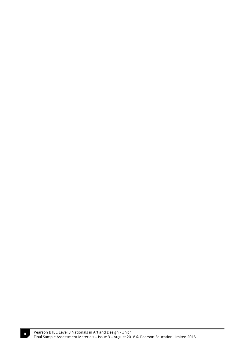ii Pearson BTEC Level 3 Nationals in Art and Design - Unit 1 Final Sample Assessment Materials – Issue 3 – August 2018 © Pearson Education Limited 2015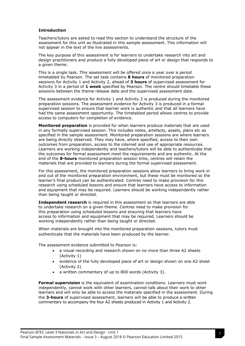#### **Introduction**

Teachers/tutors are asked to read this section to understand the structure of the assessment for this unit as illustrated in this sample assessment. This information will not appear in the text of the live assessments.

The key purpose of this assessment is for learners to undertake research into art and design practitioners and produce a fully developed piece of art or design that responds to a given theme.

This is a single task. This assessment will be offered once a year over a period timetabled by Pearson. The set task contains **8 hours** of monitored preparation sessions for Activity 1 and Activity 2, ahead of **3 hours** of supervised assessment for Activity 3 in a period of **1 week** specified by Pearson. The centre should timetable these sessions between the theme release date and the supervised assessment date.

The assessment evidence for Activity 1 and Activity 2 is produced during the monitored preparation sessions. The assessment evidence for Activity 3 is produced in a formal supervised session to ensure that learner work is authentic and that all learners have had the same assessment opportunity. The timetabled period allows centres to provide access to computers for completion of evidence.

**Monitored preparation** is provided for when learners produce materials that are used in any formally supervised session. This includes notes, artefacts, assets, plans etc as specified in the sample assessment. Monitored preparation sessions are where learners are being directly observed. They may have, where specified, access to their own outcomes from preparation, access to the internet and use of appropriate resources. Learners are working independently and teachers/tutors will be able to authenticate that the outcomes for formal assessment meet the requirements and are authentic. At the end of the **8-hours** monitored preparation session time, centres will retain the materials that are provided to learners during the formal supervised assessment.

For this assessment, the monitored preparation sessions allow learners to bring work in and out of the monitored preparation environment, but these must be monitored so the learner's final product can be authenticated. Centres need to make provision for this research using scheduled lessons and ensure that learners have access to information and equipment that may be required. Learners should be working independently rather than being taught or directed.

**Independent research** is required in this assessment so that learners are able to undertake research on a given theme. Centres need to make provision for this preparation using scheduled lessons and ensuring that learners have access to information and equipment that may be required. Learners should be working independently rather than being taught or directed.

When materials are brought into the monitored preparation sessions, tutors must authenticate that the materials have been produced by the learner.

The assessment evidence submitted to Pearson is:

- a visual recording and research shown on no more than three A2 sheets (Activity 1)
- evidence of the fully developed piece of art or design shown on one A2 sheet (Activity 2)
- a written commentary of up to 800 words (Activity 3).

**Formal supervision** is the equivalent of examination conditions. Learners must work independently, cannot work with other learners, cannot talk about their work to other learners and will only be able to access the materials specified in the assessment. During the **3-hours** of supervised assessment, learners will be able to produce a written commentary to accompany the four A2 sheets produced in Activity 1 and Activity 2.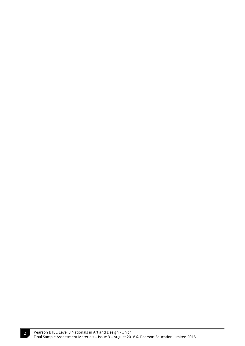2 Pearson BTEC Level 3 Nationals in Art and Design - Unit 1 Final Sample Assessment Materials – Issue 3 – August 2018 © Pearson Education Limited 2015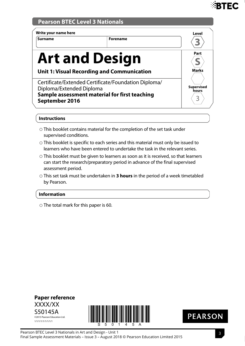# **Pearson BTEC Level 3 Nationals**

**Write your name here**

**Surname Forename**

# **Art and Design**

**Unit 1: Visual Recording and Communication**

Certificate/Extended Certificate/Foundation Diploma/ Diploma/Extended Diploma **Sample assessment material for first teaching September 2016**

| Marks               |
|---------------------|
|                     |
| Supervised<br>hours |
|                     |
|                     |

**Level**

**3**

**Part**

#### **Instructions**

- $\circ$  This booklet contains material for the completion of the set task under supervised conditions.
- This booklet is specific to each series and this material must only be issued to learners who have been entered to undertake the task in the relevant series.
- $\circ$  This booklet must be given to learners as soon as it is received, so that learners can start the research/preparatory period in advance of the final supervised assessment period.
- This set task must be undertaken in **3 hours** in the period of a week timetabled by Pearson.

#### **Information**

 $\circ$  The total mark for this paper is 60.





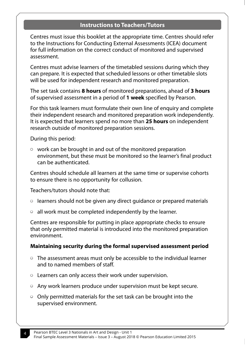#### **Instructions to Teachers/Tutors**

Centres must issue this booklet at the appropriate time. Centres should refer to the Instructions for Conducting External Assessments (ICEA) document for full information on the correct conduct of monitored and supervised assessment.

Centres must advise learners of the timetabled sessions during which they can prepare. It is expected that scheduled lessons or other timetable slots will be used for independent research and monitored preparation.

The set task contains **8 hours** of monitored preparations, ahead of **3 hours** of supervised assessment in a period of **1 week** specified by Pearson.

For this task learners must formulate their own line of enquiry and complete their independent research and monitored preparation work independently. It is expected that learners spend no more than **25 hours** on independent research outside of monitored preparation sessions.

During this period:

**2**

 $\circ$  work can be brought in and out of the monitored preparation environment, but these must be monitored so the learner's final product can be authenticated.

Centres should schedule all learners at the same time or supervise cohorts to ensure there is no opportunity for collusion.

Teachers/tutors should note that:

- $\circ$  learners should not be given any direct guidance or prepared materials
- $\circ$  all work must be completed independently by the learner.

Centres are responsible for putting in place appropriate checks to ensure that only permitted material is introduced into the monitored preparation environment.

#### **Maintaining security during the formal supervised assessment period**

- $\circ$  The assessment areas must only be accessible to the individual learner and to named members of staff.
- $\circ$  Learners can only access their work under supervision.
- $\circ$  Any work learners produce under supervision must be kept secure.
- $\circ$  Only permitted materials for the set task can be brought into the supervised environment.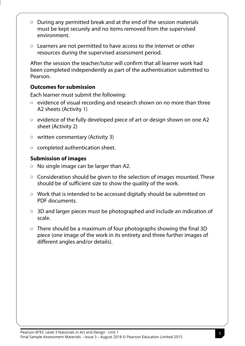- $\circ$  During any permitted break and at the end of the session materials must be kept securely and no items removed from the supervised environment.
- $\circ$  Learners are not permitted to have access to the internet or other resources during the supervised assessment period.

After the session the teacher/tutor will confirm that all learner work had been completed independently as part of the authentication submitted to Pearson.

### **Outcomes for submission**

Each learner must submit the following:

- $\circ$  evidence of visual recording and research shown on no more than three A2 sheets (Activity 1)
- $\circ$  evidence of the fully developed piece of art or design shown on one A2 sheet (Activity 2)
- $\circ$  written commentary (Activity 3)
- $\circ$  completed authentication sheet.

## **Submission of images**

- $\circ$  No single image can be larger than A2.
- $\circ$  Consideration should be given to the selection of images mounted. These should be of sufficient size to show the quality of the work.
- $\circ$  Work that is intended to be accessed digitally should be submitted on PDF documents.
- $\circ$  3D and larger pieces must be photographed and include an indication of scale.
- $\circ$  There should be a maximum of four photographs showing the final 3D piece (one image of the work in its entirety and three further images of different angles and/or details).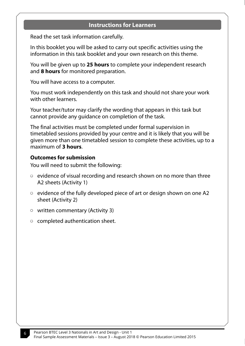#### **Instructions for Learners**

Read the set task information carefully.

In this booklet you will be asked to carry out specific activities using the information in this task booklet and your own research on this theme.

You will be given up to **25 hours** to complete your independent research and **8 hours** for monitored preparation.

You will have access to a computer.

You must work independently on this task and should not share your work with other learners.

Your teacher/tutor may clarify the wording that appears in this task but cannot provide any guidance on completion of the task.

The final activities must be completed under formal supervision in timetabled sessions provided by your centre and it is likely that you will be given more than one timetabled session to complete these activities, up to a maximum of **3 hours**.

#### **Outcomes for submission**

You will need to submit the following:

- $\circ$  evidence of visual recording and research shown on no more than three A2 sheets (Activity 1)
- $\circ$  evidence of the fully developed piece of art or design shown on one A2 sheet (Activity 2)
- $\circ$  written commentary (Activity 3)
- $\circ$  completed authentication sheet.

**4**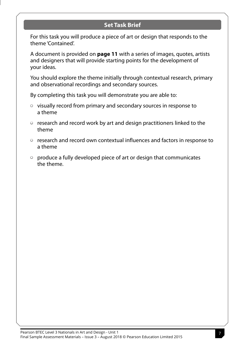#### **Set Task Brief**

For this task you will produce a piece of art or design that responds to the theme 'Contained'.

A document is provided on **page 11** with a series of images, quotes, artists and designers that will provide starting points for the development of your ideas.

You should explore the theme initially through contextual research, primary and observational recordings and secondary sources.

By completing this task you will demonstrate you are able to:

- $\circ$  visually record from primary and secondary sources in response to a theme
- $\circ$  research and record work by art and design practitioners linked to the theme
- $\circ$  research and record own contextual influences and factors in response to a theme
- $\circ$  produce a fully developed piece of art or design that communicates the theme.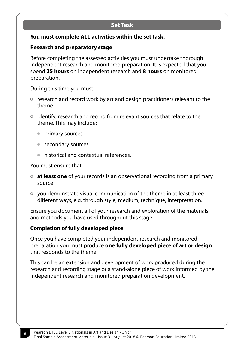#### **Set Task**

#### **You must complete ALL activities within the set task.**

#### **Research and preparatory stage**

Before completing the assessed activities you must undertake thorough independent research and monitored preparation. It is expected that you spend **25 hours** on independent research and **8 hours** on monitored preparation.

During this time you must:

- $\circ$  research and record work by art and design practitioners relevant to the theme
- $\circ$  identify, research and record from relevant sources that relate to the theme. This may include:
	- primary sources
	- $\bullet$  secondary sources
	- $\bullet$  historical and contextual references.

You must ensure that:

**6**

- <sup>Â</sup> **at least one** of your records is an observational recording from a primary source
- $\circ$  you demonstrate visual communication of the theme in at least three different ways, e.g. through style, medium, technique, interpretation.

Ensure you document all of your research and exploration of the materials and methods you have used throughout this stage.

#### **Completion of fully developed piece**

Once you have completed your independent research and monitored preparation you must produce **one fully developed piece of art or design** that responds to the theme.

This can be an extension and development of work produced during the research and recording stage or a stand-alone piece of work informed by the independent research and monitored preparation development.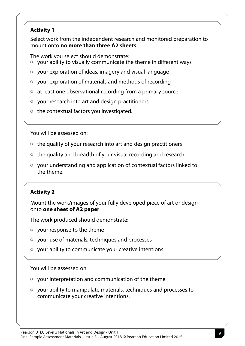## **Activity 1**

Select work from the independent research and monitored preparation to mount onto **no more than three A2 sheets**.

The work you select should demonstrate:

- $\circ$  vour ability to visually communicate the theme in different ways
- $\circ$  your exploration of ideas, imagery and visual language
- your exploration of materials and methods of recording
- $\circ$  at least one observational recording from a primary source
- $\circ$  your research into art and design practitioners
- $\circ$  the contextual factors you investigated.

You will be assessed on:

- $\circ$  the quality of your research into art and design practitioners
- $\circ$  the quality and breadth of your visual recording and research
- $\circ$  your understanding and application of contextual factors linked to the theme.

# **Activity 2**

Mount the work/images of your fully developed piece of art or design onto **one sheet of A2 paper**.

The work produced should demonstrate:

- $\circ$  your response to the theme
- $\circ$  your use of materials, techniques and processes
- $\circ$  your ability to communicate your creative intentions.

You will be assessed on:

- $\circ$  your interpretation and communication of the theme
- $\circ$  your ability to manipulate materials, techniques and processes to communicate your creative intentions.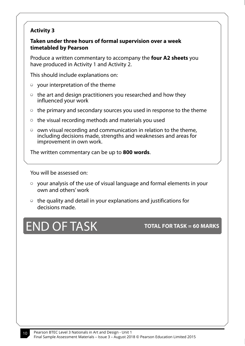# **Activity 3**

#### **Taken under three hours of formal supervision over a week timetabled by Pearson**

Produce a written commentary to accompany the **four A2 sheets** you have produced in Activity 1 and Activity 2.

This should include explanations on:

- $\circ$  your interpretation of the theme
- $\circ$  the art and design practitioners you researched and how they influenced your work
- $\circ$  the primary and secondary sources you used in response to the theme
- $\circ$  the visual recording methods and materials you used
- $\circ$  own visual recording and communication in relation to the theme, including decisions made, strengths and weaknesses and areas for improvement in own work.

The written commentary can be up to **800 words**.

You will be assessed on:

- $\circ$  your analysis of the use of visual language and formal elements in your own and others' work
- $\circ$  the quality and detail in your explanations and justifications for decisions made.

# END OF TASK **TOTAL FOR TASK = 60 MARKS**

**8**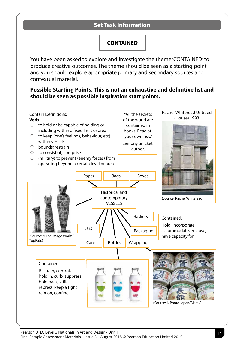## **Set Task Information**

#### **CONTAINED**

You have been asked to explore and investigate the theme 'CONTAINED' to produce creative outcomes. The theme should be seen as a starting point and you should explore appropriate primary and secondary sources and contextual material.

#### **Possible Starting Points. This is not an exhaustive and definitive list and should be seen as possible inspiration start points.**

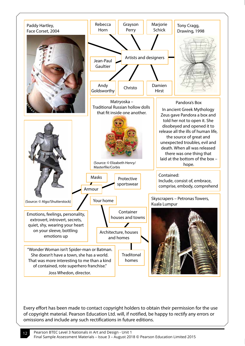

Every effort has been made to contact copyright holders to obtain their permission for the use Every effort has been made to contact copyright holders to obtain their permission for the use of copyright material. Pearson Education Ltd. will, if notified, be happy to rectify any errors or of copyright material. Pearson Education Ltd. will, if notified, be happy to rectify any errors or omissions and include any such rectifications in future editions. omissions and include any such rectifications in future editions.

**10 10**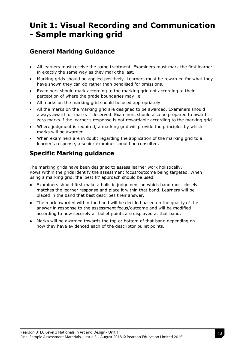# Unit 1: Visual Recording and Communication<br>- Sample marking grid<br>Ceneral Marking Guidance<br>and rection the small reduced by the stare transformed. Transformed any and most the first learner<br>in each plus same way as they met **- Sample marking grid**

# **General Marking Guidance**

- All learners must receive the same treatment. Examiners must mark the first learner in exactly the same way as they mark the last.
- Marking grids should be applied positively. Learners must be rewarded for what they have shown they can do rather than penalised for omissions.
- Examiners should mark according to the marking grid not according to their perception of where the grade boundaries may lie.
- All marks on the marking grid should be used appropriately.
- All the marks on the marking grid are designed to be awarded. Examiners should always award full marks if deserved. Examiners should also be prepared to award zero marks if the learner's response is not rewardable according to the marking grid.
- Where judgment is required, a marking grid will provide the principles by which marks will be awarded.
- When examiners are in doubt regarding the application of the marking grid to a learner's response, a senior examiner should be consulted.

# **Specific Marking guidance**

The marking grids have been designed to assess learner work holistically. Rows within the grids identify the assessment focus/outcome being targeted. When using a marking grid, the 'best fit' approach should be used.

- Examiners should first make a holistic judgement on which band most closely matches the learner response and place it within that band. Learners will be placed in the band that best describes their answer.
- The mark awarded within the band will be decided based on the quality of the answer in response to the assessment focus/outcome and will be modified according to how securely all bullet points are displayed at that band.
- Marks will be awarded towards the top or bottom of that band depending on how they have evidenced each of the descriptor bullet points.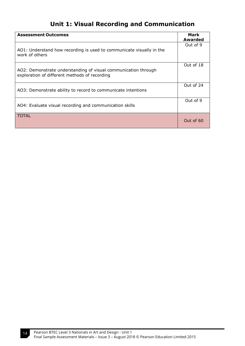# **Unit 1: Visual Recording and Communication**

| <b>Assessment Outcomes</b>                                                                                                                                    | <b>Mark</b><br><b>Awarded</b> |
|---------------------------------------------------------------------------------------------------------------------------------------------------------------|-------------------------------|
| AO1: Understand how recording is used to communicate visually in the<br>work of others                                                                        | Out of 9                      |
| AO2: Demonstrate understanding of visual communication through<br>exploration of different methods of recording                                               | Out of 18                     |
| AO3: Demonstrate ability to record to communicate intentions                                                                                                  | Out of 24                     |
| AO4: Evaluate visual recording and communication skills                                                                                                       | Out of 9                      |
| <b>TOTAL</b>                                                                                                                                                  | Out of 60                     |
|                                                                                                                                                               |                               |
|                                                                                                                                                               |                               |
|                                                                                                                                                               |                               |
|                                                                                                                                                               |                               |
|                                                                                                                                                               |                               |
|                                                                                                                                                               |                               |
|                                                                                                                                                               |                               |
|                                                                                                                                                               |                               |
|                                                                                                                                                               |                               |
|                                                                                                                                                               |                               |
|                                                                                                                                                               |                               |
|                                                                                                                                                               |                               |
|                                                                                                                                                               |                               |
|                                                                                                                                                               |                               |
| Pearson BTEC Level 3 Nationals in Art and Design - Unit 1<br>14<br>Final Sample Assessment Materials - Issue 3 - August 2018 © Pearson Education Limited 2015 |                               |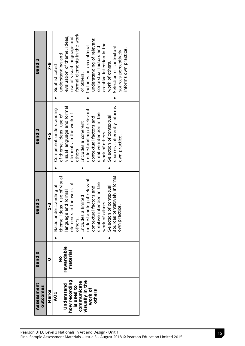| Band 3                 | 7-9    | formal elements in the work<br>evaluation of theme, ideas,<br>use of visual language and<br>understanding of relevant<br>creative intention in the<br>Includes an exceptional<br>contextual factors and<br>Selection of contextual<br>informs own practice.<br>sources perceptively<br>understanding and<br>work of others.<br>Sophisticated<br>of others. |
|------------------------|--------|------------------------------------------------------------------------------------------------------------------------------------------------------------------------------------------------------------------------------------------------------------------------------------------------------------------------------------------------------------|
| Band 2                 | ७<br>प | sources coherently informs<br>visual language and formal<br>Competent understanding<br>understanding of relevant<br>creative intention in the<br>elements in the work of<br>of theme, ideas, use of<br>Selection of contextual<br>contextual factors and<br>Includes a coherent<br>work of others.<br>own practice.<br>others.                             |
| Band 1                 | 1-3    | sources tentatively informs<br>theme, ideas, use of visual<br>understanding of relevant<br>creative intention in the<br>elements in the work of<br>nderstanding of<br>Selection of contextual<br>contextual factors and<br>anguage and formal<br>Includes a limited<br>others.<br>own practice.<br>work of<br>others.<br>Basic ur                          |
| Band 0                 |        | rewardable<br>material<br>$\frac{1}{2}$                                                                                                                                                                                                                                                                                                                    |
| Assessment<br>outcomes | Marks  | how recording<br>visually in the<br>communicate<br>Understand<br>is used to<br>work of<br>others<br>AO1                                                                                                                                                                                                                                                    |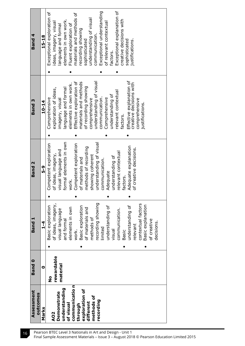| Band 4<br>Band 3<br>Band <sub>2</sub><br>Band 1 | $15 - 18$<br>$10 - 14$<br>ტ<br>ს<br>$1 - 4$ | Exceptional explanation of<br>Exceptional understanding<br>Exceptional exploration of<br>materials and methods of<br>understanding of visual<br>elements in own work.<br>creative decisions with<br>ideas, imagery, visual<br>of relevant contextual<br>Fluent exploration of<br>language and formal<br>recording showing<br>communication.<br>sophisticated<br>justifications.<br>sophisticated<br>factors.<br>Effective explanation of<br>creative decisions with<br>Effective exploration of<br>understanding of visual<br>materials and methods<br>elements in own work.<br>of recording showing<br>anguage and formal<br>exploration of ideas,<br>relevant contextual<br>understanding of<br>communication.<br>Comprehensive<br>Comprehensive<br>imagery, visual<br>comprehensive<br>comprehensive<br>justifications.<br>factors.<br>formal elements in own<br>understanding of visual<br>Competent exploration<br>Competent exploration<br>Adequate explanation<br>methods of recording<br>of creative decisions.<br>visual language and<br>relevant contextual<br>of ideas, imagery,<br>showing coherent<br>understanding of<br>of materials and<br>communication.<br>Adequate<br>factors.<br>work.<br>recording showing<br>contextual factors<br>of ideas, imagery,<br>Basic explanation<br>Basic exploration<br>understanding of<br>understanding of<br>Basic exploration<br>elements in own<br>of materials and<br>communication.<br>visual language<br>methods of<br>and formal<br>of creative<br>decisions.<br>relevant<br>limited<br>work.<br>visual<br><b>Basic</b> |
|-------------------------------------------------|---------------------------------------------|-----------------------------------------------------------------------------------------------------------------------------------------------------------------------------------------------------------------------------------------------------------------------------------------------------------------------------------------------------------------------------------------------------------------------------------------------------------------------------------------------------------------------------------------------------------------------------------------------------------------------------------------------------------------------------------------------------------------------------------------------------------------------------------------------------------------------------------------------------------------------------------------------------------------------------------------------------------------------------------------------------------------------------------------------------------------------------------------------------------------------------------------------------------------------------------------------------------------------------------------------------------------------------------------------------------------------------------------------------------------------------------------------------------------------------------------------------------------------------------------------------------------------------------------------------------------------------------|
|                                                 |                                             |                                                                                                                                                                                                                                                                                                                                                                                                                                                                                                                                                                                                                                                                                                                                                                                                                                                                                                                                                                                                                                                                                                                                                                                                                                                                                                                                                                                                                                                                                                                                                                                   |
| Band 0                                          | $\bullet$                                   | rewardable<br>material<br>$\frac{1}{2}$                                                                                                                                                                                                                                                                                                                                                                                                                                                                                                                                                                                                                                                                                                                                                                                                                                                                                                                                                                                                                                                                                                                                                                                                                                                                                                                                                                                                                                                                                                                                           |
| Assessment<br>outcomes                          | Marks                                       | communication<br>understanding<br>exploration of<br>Demonstrate<br>methods of<br>recording<br>different<br>of visual<br>through<br>AO <sub>2</sub>                                                                                                                                                                                                                                                                                                                                                                                                                                                                                                                                                                                                                                                                                                                                                                                                                                                                                                                                                                                                                                                                                                                                                                                                                                                                                                                                                                                                                                |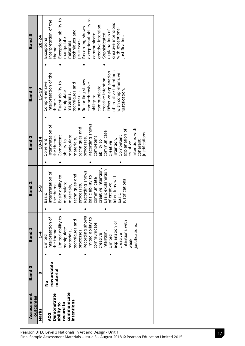| Assessment      | Band 0     | Band <sub>1</sub>               | Band <sub>2</sub>                                                                                                         | Band 3            | Band 4                 | <b>Band 5</b>          |
|-----------------|------------|---------------------------------|---------------------------------------------------------------------------------------------------------------------------|-------------------|------------------------|------------------------|
| outcomes        |            |                                 |                                                                                                                           |                   |                        |                        |
| Marks           | 0          | $\frac{4}{1}$                   | ტ<br>ს                                                                                                                    | $10 - 14$         | $15 - 19$              | 20-24                  |
|                 | <u>ខ</u>   | <b>Limited</b>                  |                                                                                                                           | Coherent          | Comprehensive          | Exceptional            |
| AO <sub>3</sub> | rewardable | interpretation of<br>the theme. |                                                                                                                           | interpretation of | nterpretation of the   | nterpretation of the   |
| Demonstrate     | material   |                                 |                                                                                                                           | the theme.        | theme.                 | theme.                 |
| ability to      |            | Limited ability to              |                                                                                                                           | Competent         | Fluent ability to      | Exceptional ability to |
| record to       |            | manipulate                      |                                                                                                                           | ability to        | manipulate             | manipulate             |
| communicate     |            | materials,                      |                                                                                                                           | manipulate        | materials,             | materials,             |
| intentions      |            | techniques and                  | Basic<br>interpretation of<br>the theme.<br>Basic ability to<br>manipulate,<br>materials,<br>materials,<br>techniques and | materials,        | techniques and         | techniques and         |
|                 |            | processes.                      |                                                                                                                           | techniques and    | processes.             | processes.             |
|                 |            | Recording shows                 |                                                                                                                           | processes.        | Recording shows        | Recording shows        |
|                 |            | limited ability to              | processes.<br>Recording shows<br>basic ability to<br>communicate                                                          | Recording shows   | comprehensive          | exceptional ability to |
|                 |            | communicate                     |                                                                                                                           | competent         | ability to             | communicate            |
|                 |            | creative                        | creative intention.<br>Basic explanation<br>of creative<br>intentions with<br>basic<br>Justifications.                    | ability to        | communicate            | creative intention.    |
|                 |            | intention.                      |                                                                                                                           | communicate       | creative intention.    | Sophisticated          |
|                 |            | Limited                         |                                                                                                                           | creative          | Effective explanation  | explanations of        |
|                 |            | explanation of                  |                                                                                                                           | intention.        | of creative intentions | creative intentions    |
|                 |            | creative                        |                                                                                                                           | Competent         | with comprehensive     | with exceptional       |
|                 |            | intentions with                 |                                                                                                                           | explanation of    | justification.         | justification.         |
|                 |            | weak                            |                                                                                                                           | creative          |                        |                        |
|                 |            | justifications.                 |                                                                                                                           | intentions with   |                        |                        |
|                 |            |                                 |                                                                                                                           | coherent          |                        |                        |
|                 |            |                                 |                                                                                                                           | justifications.   |                        |                        |
|                 |            |                                 |                                                                                                                           |                   |                        |                        |
|                 |            |                                 |                                                                                                                           |                   |                        |                        |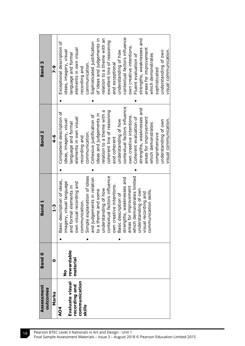| Assessment<br>outcomes  | Band 0        | Band 1                                                    | Band <sub>2</sub>            | Band 3                       |
|-------------------------|---------------|-----------------------------------------------------------|------------------------------|------------------------------|
| Marks                   | 0             | 1-3<br>1-                                                 | $4 - 6$                      | 7-9                          |
| <b>AO4</b>              |               | Basic description of ideas,                               | Competent description of     | Exceptional description of   |
|                         | $\frac{1}{2}$ | imagery, visual language                                  | ideas, imagery, visual       | deas, imagery, visual        |
| Evaluate visual         | rewardable    | and formal elements in                                    | language and formal          | anguage and formal           |
| recording and           | material      | own visual recording and                                  | elements in own visual       | elements in own visual       |
| communication<br>skills |               | communication.                                            | recording and                | recording and                |
|                         |               |                                                           | communication.               | communication.               |
|                         |               | Simple explanation of ideas<br>and judgements in relation | Cohesive justification of    | Sophisticated justification  |
|                         |               | to a theme and some                                       | ideas and judgements in      | of ideas and judgements in   |
|                         |               | understanding of how                                      | relation to a theme with a   | relation to a theme with an  |
|                         |               | contextual factors influence                              | coherent line of reasoning   | excellent line of reasoning  |
|                         |               | own creative intentions.                                  | and coherent                 | and exceptional              |
|                         |               | Basic description of<br>strengths, weaknesses and         | understanding of how         | understanding of how         |
|                         |               |                                                           | contextual factors influence | contextual factors influence |
|                         |               | areas for improvement                                     | own creative intentions.     | own creative intentions.     |
|                         |               | demonstrates limited<br>which o                           | Coherent evaluation of       | Fluent evaluation of         |
|                         |               | understanding of own                                      | strengths, weaknesses and    | strengths, weaknesses and    |
|                         |               | recording and<br>visual                                   | areas for improvement        | areas for improvement        |
|                         |               | communication skills.                                     | which demonstrates           | which demonstrates           |
|                         |               |                                                           | comprehensive                | sophisticated                |
|                         |               |                                                           | understanding of own         | understanding of own         |
|                         |               |                                                           | visual communication.        | visual communication.        |
|                         |               |                                                           |                              |                              |